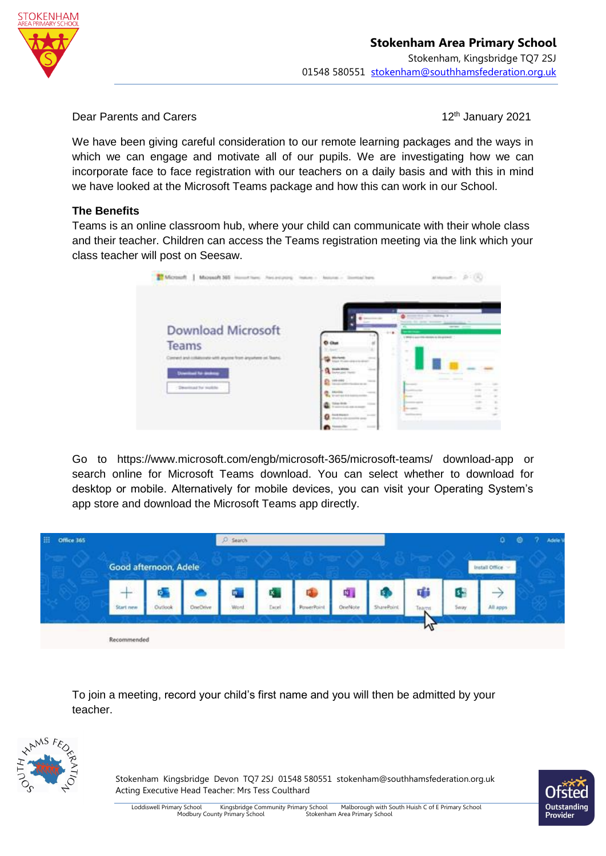

Dear Parents and Carers

12<sup>th</sup> January 2021

We have been giving careful consideration to our remote learning packages and the ways in which we can engage and motivate all of our pupils. We are investigating how we can incorporate face to face registration with our teachers on a daily basis and with this in mind we have looked at the Microsoft Teams package and how this can work in our School.

# **The Benefits**

Teams is an online classroom hub, where your child can communicate with their whole class and their teacher. Children can access the Teams registration meeting via the link which your class teacher will post on Seesaw.

| Microsoft   Microsoft 365 (Asset New January of            | <b>Instrument Characters</b>                            |                                            | attempt - D : (R) |
|------------------------------------------------------------|---------------------------------------------------------|--------------------------------------------|-------------------|
|                                                            |                                                         |                                            |                   |
| Download Microsoft                                         |                                                         | 1 WHEN a post-this situates is discussion. | -                 |
| Teams                                                      | <b>Ci Chai</b>                                          |                                            |                   |
| lement and inhalusous with any me from any where on Teams. | $-1$                                                    | $\sim$                                     |                   |
| <b>Download for dealers</b>                                | <b><i><u>Single Wind</u></i></b><br>-<br>advertising to |                                            |                   |
| Dearlined for models                                       | <b>STATE</b><br>1.11                                    |                                            |                   |
|                                                            | <b>Broadvall</b>                                        |                                            |                   |
|                                                            | ings (Artific                                           |                                            |                   |
|                                                            | <b><i>CALLED BOARDS</i></b><br>--                       |                                            |                   |

Go to https://www.microsoft.com/engb/microsoft-365/microsoft-teams/ download-app or search online for Microsoft Teams download. You can select whether to download for desktop or mobile. Alternatively for mobile devices, you can visit your Operating System's app store and download the Microsoft Teams app directly.



To join a meeting, record your child's first name and you will then be admitted by your teacher.



Stokenham Kingsbridge Devon TQ7 2SJ 01548 580551 stokenham@southhamsfederation.org.uk Acting Executive Head Teacher: Mrs Tess Coulthard

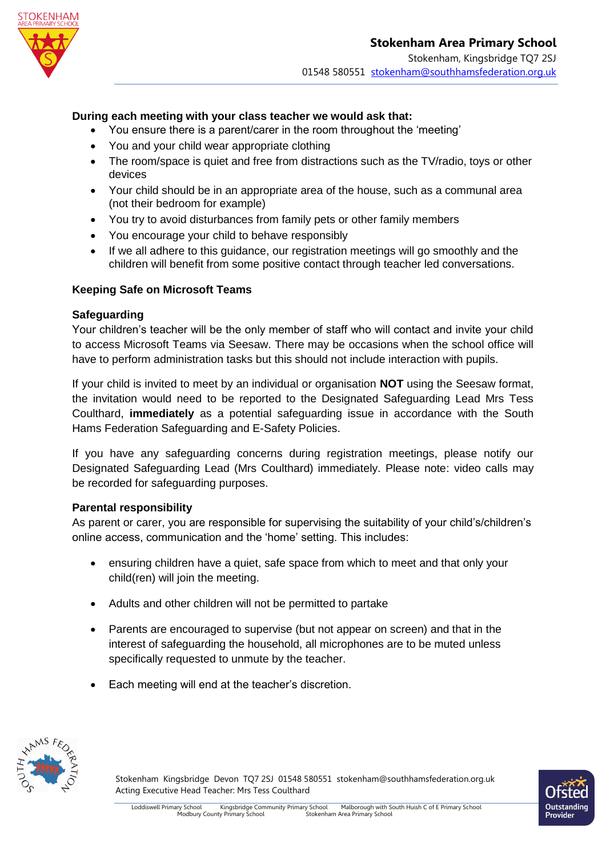

## **During each meeting with your class teacher we would ask that:**

- You ensure there is a parent/carer in the room throughout the 'meeting'
- You and your child wear appropriate clothing
- The room/space is quiet and free from distractions such as the TV/radio, toys or other devices
- Your child should be in an appropriate area of the house, such as a communal area (not their bedroom for example)
- You try to avoid disturbances from family pets or other family members
- You encourage your child to behave responsibly
- If we all adhere to this guidance, our registration meetings will go smoothly and the children will benefit from some positive contact through teacher led conversations.

### **Keeping Safe on Microsoft Teams**

#### **Safeguarding**

Your children's teacher will be the only member of staff who will contact and invite your child to access Microsoft Teams via Seesaw. There may be occasions when the school office will have to perform administration tasks but this should not include interaction with pupils.

If your child is invited to meet by an individual or organisation **NOT** using the Seesaw format, the invitation would need to be reported to the Designated Safeguarding Lead Mrs Tess Coulthard, **immediately** as a potential safeguarding issue in accordance with the South Hams Federation Safeguarding and E-Safety Policies.

If you have any safeguarding concerns during registration meetings, please notify our Designated Safeguarding Lead (Mrs Coulthard) immediately. Please note: video calls may be recorded for safeguarding purposes.

### **Parental responsibility**

As parent or carer, you are responsible for supervising the suitability of your child's/children's online access, communication and the 'home' setting. This includes:

- ensuring children have a quiet, safe space from which to meet and that only your child(ren) will join the meeting.
- Adults and other children will not be permitted to partake
- Parents are encouraged to supervise (but not appear on screen) and that in the interest of safeguarding the household, all microphones are to be muted unless specifically requested to unmute by the teacher.
- Each meeting will end at the teacher's discretion.



Stokenham Kingsbridge Devon TQ7 2SJ 01548 580551 stokenham@southhamsfederation.org.uk Acting Executive Head Teacher: Mrs Tess Coulthard